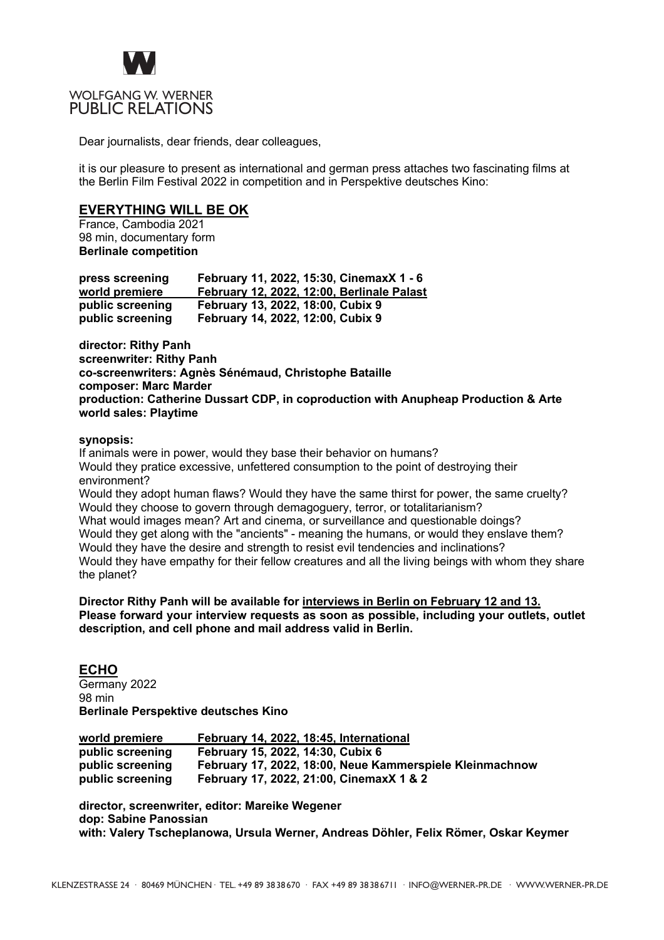

# WOLFGANG W. WERNER PUBLIC RELATIONS

Dear journalists, dear friends, dear colleagues,

it is our pleasure to present as international and german press attaches two fascinating films at the Berlin Film Festival 2022 in competition and in Perspektive deutsches Kino:

# **EVERYTHING WILL BE OK**

France, Cambodia 2021 98 min, documentary form **Berlinale competition**

| press screening  | February 11, 2022, 15:30, CinemaxX 1 - 6   |
|------------------|--------------------------------------------|
| world premiere   | February 12, 2022, 12:00, Berlinale Palast |
| public screening | February 13, 2022, 18:00, Cubix 9          |
| public screening | February 14, 2022, 12:00, Cubix 9          |

**director: Rithy Panh screenwriter: Rithy Panh co-screenwriters: Agnès Sénémaud, Christophe Bataille composer: Marc Marder production: Catherine Dussart CDP, in coproduction with Anupheap Production & Arte world sales: Playtime**

### **synopsis:**

If animals were in power, would they base their behavior on humans? Would they pratice excessive, unfettered consumption to the point of destroying their environment? Would they adopt human flaws? Would they have the same thirst for power, the same cruelty? Would they choose to govern through demagoguery, terror, or totalitarianism? What would images mean? Art and cinema, or surveillance and questionable doings? Would they get along with the "ancients" - meaning the humans, or would they enslave them? Would they have the desire and strength to resist evil tendencies and inclinations? Would they have empathy for their fellow creatures and all the living beings with whom they share the planet?

#### **Director Rithy Panh will be available for interviews in Berlin on February 12 and 13. Please forward your interview requests as soon as possible, including your outlets, outlet description, and cell phone and mail address valid in Berlin.**

### **ECHO**

Germany 2022 98 min **Berlinale Perspektive deutsches Kino**

| world premiere   | February 14, 2022, 18:45, International                  |
|------------------|----------------------------------------------------------|
| public screening | February 15, 2022, 14:30, Cubix 6                        |
| public screening | February 17, 2022, 18:00, Neue Kammerspiele Kleinmachnow |
| public screening | February 17, 2022, 21:00, CinemaxX 1 & 2                 |

**director, screenwriter, editor: Mareike Wegener dop: Sabine Panossian with: Valery Tscheplanowa, Ursula Werner, Andreas Döhler, Felix Römer, Oskar Keymer**